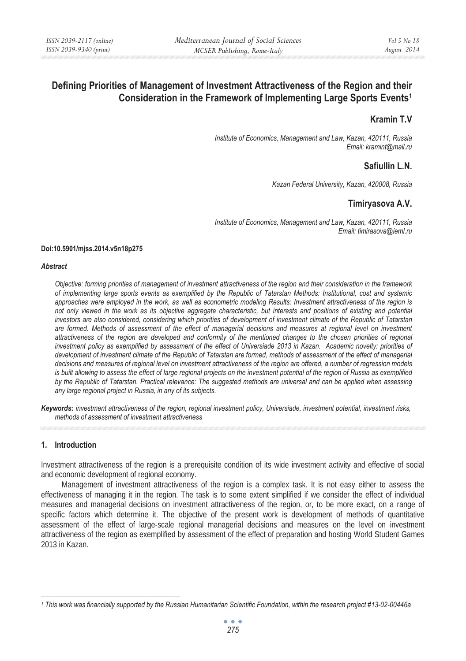# **Defining Priorities of Management of Investment Attractiveness of the Region and their Consideration in the Framework of Implementing Large Sports Events1**

## **Kramin T.V**

*Institute of Economics, Management and Law, Kazan, 420111, Russia Email: kramint@mail.ru* 

### **Safiullin L.N.**

*Kazan Federal University, Kazan, 420008, Russia* 

## **Timiryasova A.V.**

*Institute of Economics, Management and Law, Kazan, 420111, Russia Email: timirasova@ieml.ru* 

#### **Doi:10.5901/mjss.2014.v5n18p275**

#### *Abstract*

*Objective: forming priorities of management of investment attractiveness of the region and their consideration in the framework of implementing large sports events as exemplified by the Republic of Tatarstan Methods: Institutional, cost and systemic approaches were employed in the work, as well as econometric modeling Results: Investment attractiveness of the region is not only viewed in the work as its objective aggregate characteristic, but interests and positions of existing and potential investors are also considered, considering which priorities of development of investment climate of the Republic of Tatarstan are formed. Methods of assessment of the effect of managerial decisions and measures at regional level on investment attractiveness of the region are developed and conformity of the mentioned changes to the chosen priorities of regional investment policy as exemplified by assessment of the effect of Universiade 2013 in Kazan. Academic novelty: priorities of development of investment climate of the Republic of Tatarstan are formed, methods of assessment of the effect of managerial decisions and measures of regional level on investment attractiveness of the region are offered, a number of regression models is built allowing to assess the effect of large regional projects on the investment potential of the region of Russia as exemplified by the Republic of Tatarstan. Practical relevance: The suggested methods are universal and can be applied when assessing any large regional project in Russia, in any of its subjects.* 

*Keywords: investment attractiveness of the region, regional investment policy, Universiade, investment potential, investment risks, methods of assessment of investment attractiveness* 

#### **1. Introduction**

Investment attractiveness of the region is a prerequisite condition of its wide investment activity and effective of social and economic development of regional economy.

Management of investment attractiveness of the region is a complex task. It is not easy either to assess the effectiveness of managing it in the region. The task is to some extent simplified if we consider the effect of individual measures and managerial decisions on investment attractiveness of the region, or, to be more exact, on a range of specific factors which determine it. The objective of the present work is development of methods of quantitative assessment of the effect of large-scale regional managerial decisions and measures on the level on investment attractiveness of the region as exemplified by assessment of the effect of preparation and hosting World Student Games 2013 in Kazan.

*<sup>1</sup> This work was financially supported by the Russian Humanitarian Scientific Foundation, within the research project #13-02-00446a*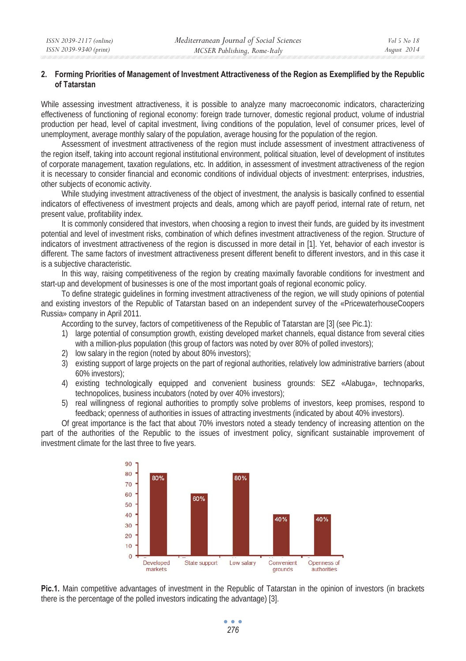#### **2. Forming Priorities of Management of Investment Attractiveness of the Region as Exemplified by the Republic of Tatarstan**

While assessing investment attractiveness, it is possible to analyze many macroeconomic indicators, characterizing effectiveness of functioning of regional economy: foreign trade turnover, domestic regional product, volume of industrial production per head, level of capital investment, living conditions of the population, level of consumer prices, level of unemployment, average monthly salary of the population, average housing for the population of the region.

Assessment of investment attractiveness of the region must include assessment of investment attractiveness of the region itself, taking into account regional institutional environment, political situation, level of development of institutes of corporate management, taxation regulations, etc. In addition, in assessment of investment attractiveness of the region it is necessary to consider financial and economic conditions of individual objects of investment: enterprises, industries, other subjects of economic activity.

While studying investment attractiveness of the object of investment, the analysis is basically confined to essential indicators of effectiveness of investment projects and deals, among which are payoff period, internal rate of return, net present value, profitability index.

It is commonly considered that investors, when choosing a region to invest their funds, are guided by its investment potential and level of investment risks, combination of which defines investment attractiveness of the region. Structure of indicators of investment attractiveness of the region is discussed in more detail in [1]. Yet, behavior of each investor is different. The same factors of investment attractiveness present different benefit to different investors, and in this case it is a subjective characteristic.

In this way, raising competitiveness of the region by creating maximally favorable conditions for investment and start-up and development of businesses is one of the most important goals of regional economic policy.

To define strategic guidelines in forming investment attractiveness of the region, we will study opinions of potential and existing investors of the Republic of Tatarstan based on an independent survey of the «PricewaterhouseCoopers Russia» company in April 2011.

According to the survey, factors of competitiveness of the Republic of Tatarstan are [3] (see Pic.1):

- 1) large potential of consumption growth, existing developed market channels, equal distance from several cities with a million-plus population (this group of factors was noted by over 80% of polled investors);
- 2) low salary in the region (noted by about 80% investors);
- 3) existing support of large projects on the part of regional authorities, relatively low administrative barriers (about 60% investors);
- 4) existing technologically equipped and convenient business grounds: SEZ «Alabuga», technoparks, technopolices, business incubators (noted by over 40% investors);
- 5) real willingness of regional authorities to promptly solve problems of investors, keep promises, respond to feedback; openness of authorities in issues of attracting investments (indicated by about 40% investors).

Of great importance is the fact that about 70% investors noted a steady tendency of increasing attention on the part of the authorities of the Republic to the issues of investment policy, significant sustainable improvement of investment climate for the last three to five years.



Pic.1. Main competitive advantages of investment in the Republic of Tatarstan in the opinion of investors (in brackets there is the percentage of the polled investors indicating the advantage) [3].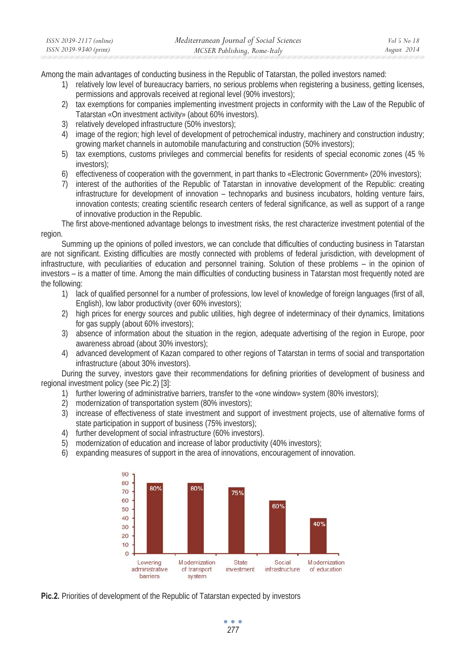| ISSN 2039-2117 (online) | Mediterranean Journal of Social Sciences | Vol 5 No 18 |
|-------------------------|------------------------------------------|-------------|
| ISSN 2039-9340 (print)  | MCSER Publishing, Rome-Italy             | August 2014 |

Among the main advantages of conducting business in the Republic of Tatarstan, the polled investors named:

- 1) relatively low level of bureaucracy barriers, no serious problems when registering a business, getting licenses, permissions and approvals received at regional level (90% investors);
- 2) tax exemptions for companies implementing investment projects in conformity with the Law of the Republic of Tatarstan «On investment activity» (about 60% investors).
- 3) relatively developed infrastructure (50% investors);
- 4) image of the region; high level of development of petrochemical industry, machinery and construction industry; growing market channels in automobile manufacturing and construction (50% investors);
- 5) tax exemptions, customs privileges and commercial benefits for residents of special economic zones (45 % investors);
- 6) effectiveness of cooperation with the government, in part thanks to «Electronic Government» (20% investors);
- 7) interest of the authorities of the Republic of Tatarstan in innovative development of the Republic: creating infrastructure for development of innovation – technoparks and business incubators, holding venture fairs, innovation contests; creating scientific research centers of federal significance, as well as support of a range of innovative production in the Republic.

The first above-mentioned advantage belongs to investment risks, the rest characterize investment potential of the region.

Summing up the opinions of polled investors, we can conclude that difficulties of conducting business in Tatarstan are not significant. Existing difficulties are mostly connected with problems of federal jurisdiction, with development of infrastructure, with peculiarities of education and personnel training. Solution of these problems – in the opinion of investors – is a matter of time. Among the main difficulties of conducting business in Tatarstan most frequently noted are the following:

- 1) lack of qualified personnel for a number of professions, low level of knowledge of foreign languages (first of all, English), low labor productivity (over 60% investors);
- 2) high prices for energy sources and public utilities, high degree of indeterminacy of their dynamics, limitations for gas supply (about 60% investors);
- 3) absence of information about the situation in the region, adequate advertising of the region in Europe, poor awareness abroad (about 30% investors);
- 4) advanced development of Kazan compared to other regions of Tatarstan in terms of social and transportation infrastructure (about 30% investors).

During the survey, investors gave their recommendations for defining priorities of development of business and regional investment policy (see Pic.2) [3]:

- 1) further lowering of administrative barriers, transfer to the «one window» system (80% investors);
- 2) modernization of transportation system (80% investors);
- 3) increase of effectiveness of state investment and support of investment projects, use of alternative forms of state participation in support of business (75% investors);
- 4) further development of social infrastructure (60% investors).
- 5) modernization of education and increase of labor productivity (40% investors);
- 6) expanding measures of support in the area of innovations, encouragement of innovation.



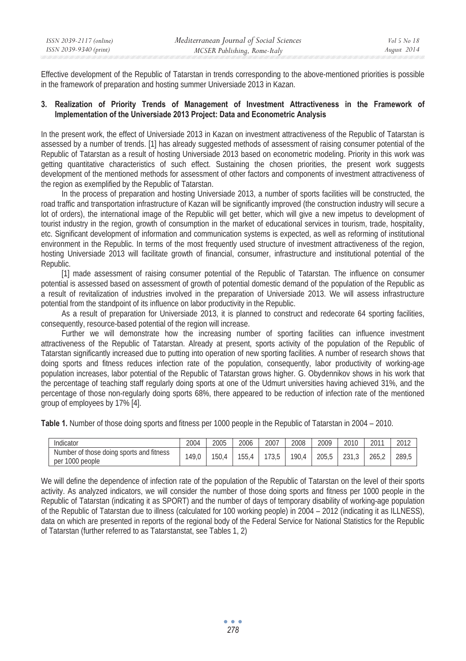Effective development of the Republic of Tatarstan in trends corresponding to the above-mentioned priorities is possible in the framework of preparation and hosting summer Universiade 2013 in Kazan.

### **3. Realization of Priority Trends of Management of Investment Attractiveness in the Framework of Implementation of the Universiade 2013 Project: Data and Econometric Analysis**

In the present work, the effect of Universiade 2013 in Kazan on investment attractiveness of the Republic of Tatarstan is assessed by a number of trends. [1] has already suggested methods of assessment of raising consumer potential of the Republic of Tatarstan as a result of hosting Universiade 2013 based on econometric modeling. Priority in this work was getting quantitative characteristics of such effect. Sustaining the chosen priorities, the present work suggests development of the mentioned methods for assessment of other factors and components of investment attractiveness of the region as exemplified by the Republic of Tatarstan.

In the process of preparation and hosting Universiade 2013, a number of sports facilities will be constructed, the road traffic and transportation infrastructure of Kazan will be significantly improved (the construction industry will secure a lot of orders), the international image of the Republic will get better, which will give a new impetus to development of tourist industry in the region, growth of consumption in the market of educational services in tourism, trade, hospitality, etc. Significant development of information and communication systems is expected, as well as reforming of institutional environment in the Republic. In terms of the most frequently used structure of investment attractiveness of the region, hosting Universiade 2013 will facilitate growth of financial, consumer, infrastructure and institutional potential of the Republic.

[1] made assessment of raising consumer potential of the Republic of Tatarstan. The influence on consumer potential is assessed based on assessment of growth of potential domestic demand of the population of the Republic as a result of revitalization of industries involved in the preparation of Universiade 2013. We will assess infrastructure potential from the standpoint of its influence on labor productivity in the Republic.

As a result of preparation for Universiade 2013, it is planned to construct and redecorate 64 sporting facilities, consequently, resource-based potential of the region will increase.

Further we will demonstrate how the increasing number of sporting facilities can influence investment attractiveness of the Republic of Tatarstan. Already at present, sports activity of the population of the Republic of Tatarstan significantly increased due to putting into operation of new sporting facilities. A number of research shows that doing sports and fitness reduces infection rate of the population, consequently, labor productivity of working-age population increases, labor potential of the Republic of Tatarstan grows higher. G. Obydennikov shows in his work that the percentage of teaching staff regularly doing sports at one of the Udmurt universities having achieved 31%, and the percentage of those non-regularly doing sports 68%, there appeared to be reduction of infection rate of the mentioned group of employees by 17% [4].

**Table 1.** Number of those doing sports and fitness per 1000 people in the Republic of Tatarstan in 2004 – 2010.

| Indicator                                                   | 2004  | 2005  | 2006  | 2007 | 2008  | 2009  | 2010 | 2011  | 2012  |
|-------------------------------------------------------------|-------|-------|-------|------|-------|-------|------|-------|-------|
| Number of those doing sports and fitness<br>per 1000 people | 149.0 | 150.4 | 155.4 | 73.5 | 190.4 | 205.5 | 231  | 265.2 | 289.5 |

We will define the dependence of infection rate of the population of the Republic of Tatarstan on the level of their sports activity. As analyzed indicators, we will consider the number of those doing sports and fitness per 1000 people in the Republic of Tatarstan (indicating it as SPORT) and the number of days of temporary disability of working-age population of the Republic of Tatarstan due to illness (calculated for 100 working people) in 2004 – 2012 (indicating it as ILLNESS), data on which are presented in reports of the regional body of the Federal Service for National Statistics for the Republic of Tatarstan (further referred to as Tatarstanstat, see Tables 1, 2)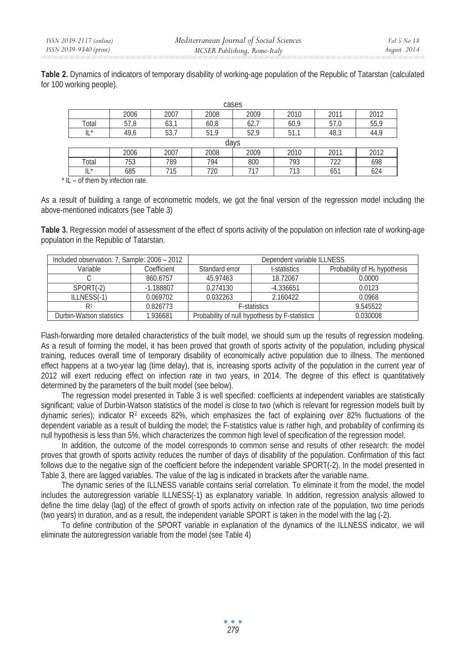**Table 2.** Dynamics of indicators of temporary disability of working-age population of the Republic of Tatarstan (calculated for 100 working people).

| cases |      |      |      |      |      |      |      |  |  |
|-------|------|------|------|------|------|------|------|--|--|
|       | 2006 | 2007 | 2008 | 2009 | 2010 | 2011 | 2012 |  |  |
| Total | 57,8 | 63,  | 60,8 | 62,7 | 60,9 | 57,0 | 55,9 |  |  |
| ۱Ľ    | 49,6 | 53,7 | 51,9 | 52,9 | 51   | 48,3 | 44,9 |  |  |
| days  |      |      |      |      |      |      |      |  |  |
|       | 2006 | 2007 | 2008 | 2009 | 2010 | 2011 | 2012 |  |  |
| Total | 753  | 789  | 794  | 800  | 793  | 722  | 698  |  |  |
| IL*   | 685  | 715  | 720  | 717  | 713  | 651  | 624  |  |  |

 $*$  IL – of them by infection rate.

As a result of building a range of econometric models, we got the final version of the regression model including the above-mentioned indicators (see Table 3)

**Table 3.** Regression model of assessment of the effect of sports activity of the population on infection rate of working-age population in the Republic of Tatarstan.

| Included observation: 7, Sample: 2006 - 2012 |             | Dependent variable ILLNESS |                                                |                                 |  |  |
|----------------------------------------------|-------------|----------------------------|------------------------------------------------|---------------------------------|--|--|
| Variable                                     | Coefficient | Standard error             | t-statistics                                   | Probability of $H_0$ hypothesis |  |  |
|                                              | 860.6757    | 45.97463                   | 18.72067                                       | 0.0000                          |  |  |
| SPORT(-2)                                    | $-1.188807$ | 0.274130                   | $-4.336651$                                    | 0.0123                          |  |  |
| ILLNESS(-1)                                  | 0.069702    | 0.032263                   | 2.160422                                       | 0.0968                          |  |  |
| R <sup>2</sup>                               | 0.826773    |                            | <b>F-statistics</b>                            | 9.545522                        |  |  |
| Durbin-Watson statistics                     | 1.936681    |                            | Probability of null hypothesis by F-statistics | 0.030008                        |  |  |

Flash-forwarding more detailed characteristics of the built model, we should sum up the results of regression modeling. As a result of forming the model, it has been proved that growth of sports activity of the population, including physical training, reduces overall time of temporary disability of economically active population due to illness. The mentioned effect happens at a two-year lag (time delay), that is, increasing sports activity of the population in the current year of 2012 will exert reducing effect on infection rate in two years, in 2014. The degree of this effect is quantitatively determined by the parameters of the built model (see below).

The regression model presented in Table 3 is well specified: coefficients at independent variables are statistically significant; value of Durbin-Watson statistics of the model is close to two (which is relevant for regression models built by dynamic series); indicator  $R^2$  exceeds 82%, which emphasizes the fact of explaining over 82% fluctuations of the dependent variable as a result of building the model; the F-statistics value is rather high, and probability of confirming its null hypothesis is less than 5%, which characterizes the common high level of specification of the regression model.

In addition, the outcome of the model corresponds to common sense and results of other research: the model proves that growth of sports activity reduces the number of days of disability of the population. Confirmation of this fact follows due to the negative sign of the coefficient before the independent variable SPORT(-2). In the model presented in Table 3, there are lagged variables. The value of the lag is indicated in brackets after the variable name.

The dynamic series of the ILLNESS variable contains serial correlation. To eliminate it from the model, the model includes the autoregression variable ILLNESS(-1) as explanatory variable. In addition, regression analysis allowed to define the time delay (lag) of the effect of growth of sports activity on infection rate of the population, two time periods (two years) in duration, and as a result, the independent variable SPORT is taken in the model with the lag (-2).

To define contribution of the SPORT variable in explanation of the dynamics of the ILLNESS indicator, we will eliminate the autoregression variable from the model (see Table 4)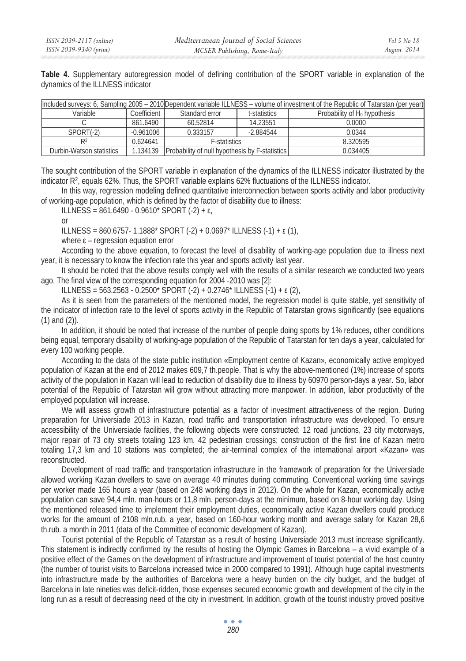**Table 4.** Supplementary autoregression model of defining contribution of the SPORT variable in explanation of the dynamics of the ILLNESS indicator

| Included surveys: 6, Sampling 2005 – 2010 Dependent variable ILLNESS – volume of investment of the Republic of Tatarstan (per year) |             |                                                       |              |                                 |  |  |  |
|-------------------------------------------------------------------------------------------------------------------------------------|-------------|-------------------------------------------------------|--------------|---------------------------------|--|--|--|
| Variable                                                                                                                            | Coefficient | Standard error                                        | t-statistics | Probability of $H_0$ hypothesis |  |  |  |
|                                                                                                                                     | 861.6490    | 60.52814                                              | 14.23551     | 0.0000                          |  |  |  |
| $SPORT(-2)$                                                                                                                         | $-0.961006$ | 0.333157                                              | $-2.884544$  | 0.0344                          |  |  |  |
| R <sup>2</sup>                                                                                                                      | 0.624641    | <b>F-statistics</b>                                   |              | 8.320595                        |  |  |  |
| Durbin-Watson statistics                                                                                                            | 1.134139    | <b>Probability of null hypothesis by F-statistics</b> |              | 0.034405                        |  |  |  |

The sought contribution of the SPORT variable in explanation of the dynamics of the ILLNESS indicator illustrated by the indicator R2, equals 62%. Thus, the SPORT variable explains 62% fluctuations of the ILLNESS indicator.

In this way, regression modeling defined quantitative interconnection between sports activity and labor productivity of working-age population, which is defined by the factor of disability due to illness:

ILLNESS =  $861.6490 - 0.9610*$  SPORT  $(-2) + \varepsilon$ ,

or

ILLNESS = 860.6757- 1.1888\* SPORT (-2) + 0.0697\* ILLNESS (-1) +  $\varepsilon$  (1),

where  $\epsilon$  – regression equation error

According to the above equation, to forecast the level of disability of working-age population due to illness next year, it is necessary to know the infection rate this year and sports activity last year.

It should be noted that the above results comply well with the results of a similar research we conducted two years ago. The final view of the corresponding equation for 2004 -2010 was [2]:

ILLNESS = 563.2563 - 0.2500\* SPORT  $(-2)$  + 0.2746\* ILLNESS  $(-1)$  +  $\varepsilon$  (2),

As it is seen from the parameters of the mentioned model, the regression model is quite stable, yet sensitivity of the indicator of infection rate to the level of sports activity in the Republic of Tatarstan grows significantly (see equations (1) and (2)).

In addition, it should be noted that increase of the number of people doing sports by 1% reduces, other conditions being equal, temporary disability of working-age population of the Republic of Tatarstan for ten days a year, calculated for every 100 working people.

According to the data of the state public institution «Employment centre of Kazan», economically active employed population of Kazan at the end of 2012 makes 609,7 th.people. That is why the above-mentioned (1%) increase of sports activity of the population in Kazan will lead to reduction of disability due to illness by 60970 person-days a year. So, labor potential of the Republic of Tatarstan will grow without attracting more manpower. In addition, labor productivity of the employed population will increase.

We will assess growth of infrastructure potential as a factor of investment attractiveness of the region. During preparation for Universiade 2013 in Kazan, road traffic and transportation infrastructure was developed. To ensure accessibility of the Universiade facilities, the following objects were constructed: 12 road junctions, 23 city motorways, major repair of 73 city streets totaling 123 km, 42 pedestrian crossings; construction of the first line of Kazan metro totaling 17,3 km and 10 stations was completed; the air-terminal complex of the international airport «Kazan» was reconstructed.

Development of road traffic and transportation infrastructure in the framework of preparation for the Universiade allowed working Kazan dwellers to save on average 40 minutes during commuting. Conventional working time savings per worker made 165 hours a year (based on 248 working days in 2012). On the whole for Kazan, economically active population can save 94,4 mln. man-hours or 11,8 mln. person-days at the minimum, based on 8-hour working day. Using the mentioned released time to implement their employment duties, economically active Kazan dwellers could produce works for the amount of 2108 mln.rub. a year, based on 160-hour working month and average salary for Kazan 28,6 th.rub. a month in 2011 (data of the Committee of economic development of Kazan).

Tourist potential of the Republic of Tatarstan as a result of hosting Universiade 2013 must increase significantly. This statement is indirectly confirmed by the results of hosting the Olympic Games in Barcelona – a vivid example of a positive effect of the Games on the development of infrastructure and improvement of tourist potential of the host country (the number of tourist visits to Barcelona increased twice in 2000 compared to 1991). Although huge capital investments into infrastructure made by the authorities of Barcelona were a heavy burden on the city budget, and the budget of Barcelona in late nineties was deficit-ridden, those expenses secured economic growth and development of the city in the long run as a result of decreasing need of the city in investment. In addition, growth of the tourist industry proved positive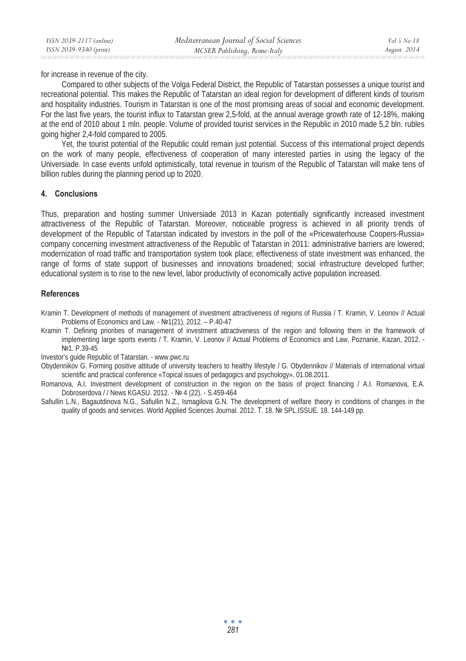for increase in revenue of the city.

Compared to other subjects of the Volga Federal District, the Republic of Tatarstan possesses a unique tourist and recreational potential. This makes the Republic of Tatarstan an ideal region for development of different kinds of tourism and hospitality industries. Tourism in Tatarstan is one of the most promising areas of social and economic development. For the last five years, the tourist influx to Tatarstan grew 2,5-fold, at the annual average growth rate of 12-18%, making at the end of 2010 about 1 mln. people. Volume of provided tourist services in the Republic in 2010 made 5,2 bln. rubles going higher 2,4-fold compared to 2005.

Yet, the tourist potential of the Republic could remain just potential. Success of this international project depends on the work of many people, effectiveness of cooperation of many interested parties in using the legacy of the Universiade. In case events unfold optimistically, total revenue in tourism of the Republic of Tatarstan will make tens of billion rubles during the planning period up to 2020.

### **4. Conclusions**

Thus, preparation and hosting summer Universiade 2013 in Kazan potentially significantly increased investment attractiveness of the Republic of Tatarstan. Moreover, noticeable progress is achieved in all priority trends of development of the Republic of Tatarstan indicated by investors in the poll of the «Pricewaterhouse Coopers-Russia» company concerning investment attractiveness of the Republic of Tatarstan in 2011: administrative barriers are lowered; modernization of road traffic and transportation system took place; effectiveness of state investment was enhanced, the range of forms of state support of businesses and innovations broadened; social infrastructure developed further; educational system is to rise to the new level, labor productivity of economically active population increased.

### **References**

- Kramin T. Development of methods of management of investment attractiveness of regions of Russia / T. Kramin, V. Leonov // Actual Problems of Economics and Law. -  $N\sqrt{21}$ , 2012. – P.40-47
- Kramin T. Defining priorities of management of investment attractiveness of the region and following them in the framework of implementing large sports events / T. Kramin, V. Leonov // Actual Problems of Economics and Law, Poznanie, Kazan, 2012. - No1. P.39-45
- Investor's guide Republic of Tatarstan. www.pwc.ru
- Obydennikov G. Forming positive attitude of university teachers to healthy lifestyle / G. Obydennikov // Materials of international virtual scientific and practical conference «Topical issues of pedagogics and psychology», 01.08.2011.
- Romanova, A.I. Investment development of construction in the region on the basis of project financing / A.I. Romanova, E.A. Dobroserdova / / News KGASU. 2012. - № 4 (22). - S.459-464
- Safiullin L.N., Bagautdinova N.G., Safiullin N.Z., Ismagilova G.N. The development of welfare theory in conditions of changes in the quality of goods and services. World Applied Sciences Journal. 2012. T. 18. № SPL.ISSUE. 18. 144-149 pp.